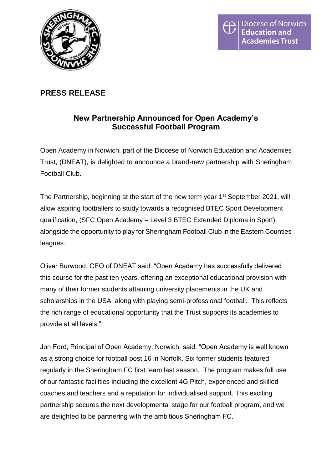

# **PRESS RELEASE**

## **New Partnership Announced for Open Academy's Successful Football Program**

Open Academy in Norwich, part of the Diocese of Norwich Education and Academies Trust, (DNEAT), is delighted to announce a brand-new partnership with Sheringham Football Club.

The Partnership, beginning at the start of the new term year 1<sup>st</sup> September 2021, will allow aspiring footballers to study towards a recognised BTEC Sport Development qualification, (SFC Open Academy – Level 3 BTEC Extended Diploma in Sport), alongside the opportunity to play for Sheringham Football Club in the Eastern Counties leagues.

Oliver Burwood, CEO of DNEAT said: "Open Academy has successfully delivered this course for the past ten years, offering an exceptional educational provision with many of their former students attaining university placements in the UK and scholarships in the USA, along with playing semi-professional football. This reflects the rich range of educational opportunity that the Trust supports its academies to provide at all levels."

Jon Ford, Principal of Open Academy, Norwich, said: "Open Academy is well known as a strong choice for football post 16 in Norfolk. Six former students featured regularly in the Sheringham FC first team last season. The program makes full use of our fantastic facilities including the excellent 4G Pitch, experienced and skilled coaches and teachers and a reputation for individualised support. This exciting partnership secures the next developmental stage for our football program, and we are delighted to be partnering with the ambitious Sheringham FC."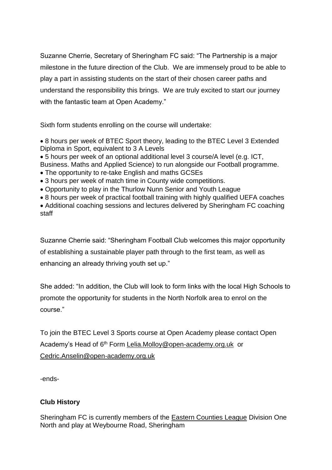Suzanne Cherrie, Secretary of Sheringham FC said: "The Partnership is a major milestone in the future direction of the Club. We are immensely proud to be able to play a part in assisting students on the start of their chosen career paths and understand the responsibility this brings. We are truly excited to start our journey with the fantastic team at Open Academy."

Sixth form students enrolling on the course will undertake:

• 8 hours per week of BTEC Sport theory, leading to the BTEC Level 3 Extended Diploma in Sport, equivalent to 3 A Levels

• 5 hours per week of an optional additional level 3 course/A level (e.g. ICT,

Business. Maths and Applied Science) to run alongside our Football programme.

- The opportunity to re-take English and maths GCSEs
- 3 hours per week of match time in County wide competitions.
- Opportunity to play in the Thurlow Nunn Senior and Youth League
- 8 hours per week of practical football training with highly qualified UEFA coaches

• Additional coaching sessions and lectures delivered by Sheringham FC coaching staff

Suzanne Cherrie said: "Sheringham Football Club welcomes this major opportunity of establishing a sustainable player path through to the first team, as well as enhancing an already thriving youth set up."

She added: "In addition, the Club will look to form links with the local High Schools to promote the opportunity for students in the North Norfolk area to enrol on the course."

To join the BTEC Level 3 Sports course at Open Academy please contact Open Academy's Head of 6<sup>th</sup> Form [Lelia.Molloy@open-academy.org.uk](mailto:Lelia.Molly@open-academy.org.uk) or [Cedric.Anselin@open-academy.org.uk](mailto:Cedric.Anselin@open-academy.org.uk)

-ends-

## **Club History**

Sheringham FC is currently members of the [Eastern Counties League](https://en.wikipedia.org/wiki/Eastern_Counties_Football_League) Division One North and play at Weybourne Road, Sheringham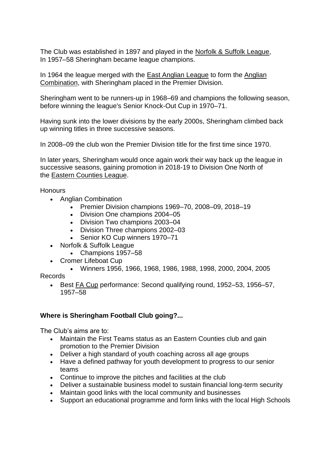The Club was established in 1897 and played in the [Norfolk & Suffolk League,](https://en.wikipedia.org/wiki/Norfolk_%26_Suffolk_League) In 1957–58 Sheringham became league champions.

In 1964 the league merged with the [East Anglian League](https://en.wikipedia.org/wiki/East_Anglian_League) to form the [Anglian](https://en.wikipedia.org/wiki/Anglian_Combination)  [Combination,](https://en.wikipedia.org/wiki/Anglian_Combination) with Sheringham placed in the Premier Division.

Sheringham went to be runners-up in 1968–69 and champions the following season, before winning the league's Senior Knock-Out Cup in 1970–71.

Having sunk into the lower divisions by the early 2000s, Sheringham climbed back up winning titles in three successive seasons.

In 2008–09 the club won the Premier Division title for the first time since 1970.

In later years, Sheringham would once again work their way back up the league in successive seasons, gaining promotion in 2018-19 to Division One North of the [Eastern Counties League.](https://en.wikipedia.org/wiki/Eastern_Counties_Football_League)

**Honours** 

- Anglian Combination
	- Premier Division champions 1969–70, 2008–09, 2018–19
	- Division One champions 2004–05
	- Division Two champions 2003–04
	- Division Three champions 2002–03
	- Senior KO Cup winners 1970–71
- Norfolk & Suffolk League
	- Champions 1957–58
- Cromer Lifeboat Cup
	- Winners 1956, 1966, 1968, 1986, 1988, 1998, 2000, 2004, 2005

Records

• Best [FA Cup](https://en.wikipedia.org/wiki/FA_Cup) performance: Second qualifying round, 1952–53, 1956–57, 1957–58

## **Where is Sheringham Football Club going?...**

The Club's aims are to:

- Maintain the First Teams status as an Eastern Counties club and gain promotion to the Premier Division
- Deliver a high standard of youth coaching across all age groups
- Have a defined pathway for youth development to progress to our senior teams
- Continue to improve the pitches and facilities at the club
- Deliver a sustainable business model to sustain financial long-term security
- Maintain good links with the local community and businesses
- Support an educational programme and form links with the local High Schools